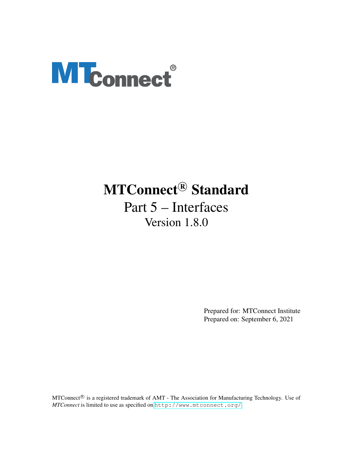# **MTconnect®**

## MTConnect<sup>®</sup> Standard

Part 5 – Interfaces Version 1.8.0

> Prepared for: MTConnect Institute Prepared on: September 6, 2021

MTConnect<sup>®</sup> is a registered trademark of AMT - The Association for Manufacturing Technology. Use of *MTConnect* is limited to use as specified on <http://www.mtconnect.org/>.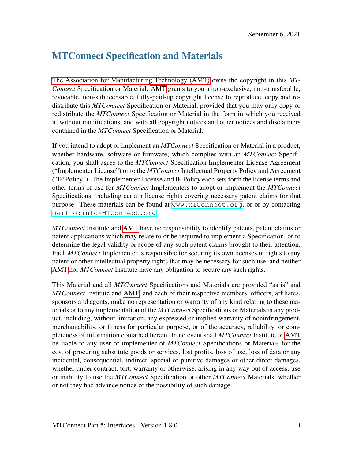## MTConnect Specification and Materials

[The Association for Manufacturing Technology \(AMT\)](#page-11-0) owns the copyright in this *MT-Connect* Specification or Material. [AMT](#page-11-0) grants to you a non-exclusive, non-transferable, revocable, non-sublicensable, fully-paid-up copyright license to reproduce, copy and redistribute this *MTConnect* Specification or Material, provided that you may only copy or redistribute the *MTConnect* Specification or Material in the form in which you received it, without modifications, and with all copyright notices and other notices and disclaimers contained in the *MTConnect* Specification or Material.

If you intend to adopt or implement an *MTConnect* Specification or Material in a product, whether hardware, software or firmware, which complies with an *MTConnect* Specification, you shall agree to the *MTConnect* Specification Implementer License Agreement ("Implementer License") or to the *MTConnect* Intellectual Property Policy and Agreement ("IP Policy"). The Implementer License and IP Policy each sets forth the license terms and other terms of use for *MTConnect* Implementers to adopt or implement the *MTConnect* Specifications, including certain license rights covering necessary patent claims for that purpose. These materials can be found at <www.MTConnect.org>, or or by contacting <mailto:info@MTConnect.org>.

*MTConnect* Institute and [AMT](#page-11-0) have no responsibility to identify patents, patent claims or patent applications which may relate to or be required to implement a Specification, or to determine the legal validity or scope of any such patent claims brought to their attention. Each *MTConnect* Implementer is responsible for securing its own licenses or rights to any patent or other intellectual property rights that may be necessary for such use, and neither [AMT](#page-11-0) nor *MTConnect* Institute have any obligation to secure any such rights.

This Material and all *MTConnect* Specifications and Materials are provided "as is" and *MTConnect* Institute and [AMT,](#page-11-0) and each of their respective members, officers, affiliates, sponsors and agents, make no representation or warranty of any kind relating to these materials or to any implementation of the *MTConnect* Specifications or Materials in any product, including, without limitation, any expressed or implied warranty of noninfringement, merchantability, or fitness for particular purpose, or of the accuracy, reliability, or completeness of information contained herein. In no event shall *MTConnect* Institute or [AMT](#page-11-0) be liable to any user or implementer of *MTConnect* Specifications or Materials for the cost of procuring substitute goods or services, lost profits, loss of use, loss of data or any incidental, consequential, indirect, special or punitive damages or other direct damages, whether under contract, tort, warranty or otherwise, arising in any way out of access, use or inability to use the *MTConnect* Specification or other *MTConnect* Materials, whether or not they had advance notice of the possibility of such damage.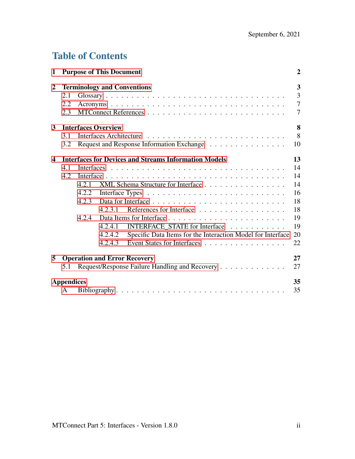## Table of Contents

| 1                       |                   | <b>Purpose of This Document</b> |                            |                                                              | $\boldsymbol{2}$              |
|-------------------------|-------------------|---------------------------------|----------------------------|--------------------------------------------------------------|-------------------------------|
| $\boldsymbol{2}$        | 2.1<br>2.2<br>2.3 |                                 |                            | <b>Terminology and Conventions</b>                           | 3<br>3<br>$\overline{7}$<br>7 |
| $\mathbf{3}$            |                   |                                 | <b>Interfaces Overview</b> |                                                              | 8                             |
|                         | 3.1               |                                 |                            |                                                              | 8                             |
|                         | 3.2               |                                 |                            | Request and Response Information Exchange                    | 10                            |
| $\overline{\mathbf{4}}$ |                   |                                 |                            | <b>Interfaces for Devices and Streams Information Models</b> | 13                            |
|                         | 4.1               |                                 |                            |                                                              | 14                            |
|                         | 4.2               |                                 |                            |                                                              | 14                            |
|                         |                   | 4.2.1                           |                            | XML Schema Structure for Interface                           | 14                            |
|                         |                   | 4.2.2                           |                            |                                                              | 16                            |
|                         |                   | 4.2.3                           |                            |                                                              | 18                            |
|                         |                   |                                 | 4.2.3.1                    | References for Interface                                     | 18                            |
|                         |                   | 4.2.4                           |                            |                                                              | 19                            |
|                         |                   |                                 | 4.2.4.1                    | INTERFACE_STATE for Interface                                | 19                            |
|                         |                   |                                 | 4.2.4.2                    | Specific Data Items for the Interaction Model for Interface  | 20                            |
|                         |                   |                                 | 4.2.4.3                    | Event States for Interfaces                                  | 22                            |
| 5                       |                   |                                 |                            | <b>Operation and Error Recovery</b>                          | 27                            |
|                         | 5.1               |                                 |                            | Request/Response Failure Handling and Recovery               | 27                            |
|                         | <b>Appendices</b> |                                 |                            |                                                              | 35                            |
|                         | A                 |                                 |                            |                                                              | 35                            |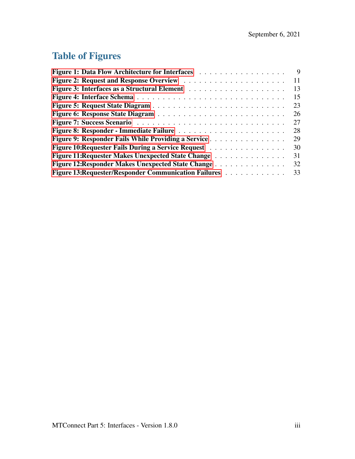## Table of Figures

|                                                           | 9  |
|-----------------------------------------------------------|----|
|                                                           | 11 |
|                                                           | 13 |
|                                                           | 15 |
|                                                           | 23 |
|                                                           | 26 |
|                                                           | 27 |
|                                                           | 28 |
| Figure 9: Responder Fails While Providing a Service       | 29 |
| Figure 10: Requester Fails During a Service Request       | 30 |
| <b>Figure 11: Requester Makes Unexpected State Change</b> | 31 |
| Figure 12: Responder Makes Unexpected State Change        | 32 |
| Figure 13: Requester/Responder Communication Failures     | 33 |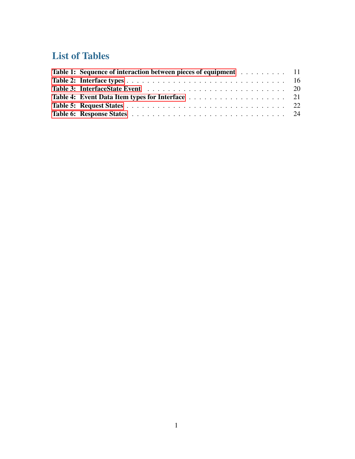## List of Tables

<span id="page-4-0"></span>

| Table 1: Sequence of interaction between pieces of equipment 11 |  |
|-----------------------------------------------------------------|--|
|                                                                 |  |
|                                                                 |  |
|                                                                 |  |
|                                                                 |  |
|                                                                 |  |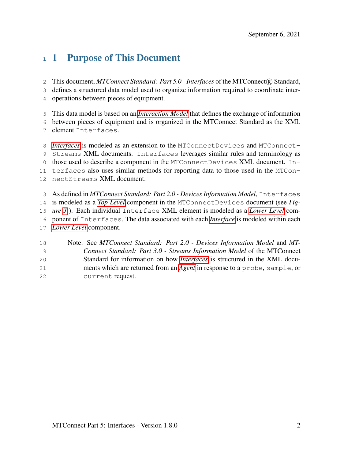## 1 Purpose of This Document

2 This document, MTConnect Standard: Part 5.0 - Interfaces of the MTConnect® Standard,

defines a structured data model used to organize information required to coordinate inter-

operations between pieces of equipment.

This data model is based on an *[Interaction Model](#page-8-0)* that defines the exchange of information

between pieces of equipment and is organized in the MTConnect Standard as the XML

element Interfaces.

*[Interfaces](#page-8-1)* is modeled as an extension to the MTConnectDevices and MTConnect- Streams XML documents. Interfaces leverages similar rules and terminology as those used to describe a component in the MTConnectDevices XML document. In- terfaces also uses similar methods for reporting data to those used in the MTCon-nectStreams XML document.

 As defined in *MTConnect Standard: Part 2.0 - Devices Information Model*, Interfaces is modeled as a *[Top Level](#page-11-4)* component in the MTConnectDevices document (see *Fig- ure [3](#page-17-1)* ). Each individual Interface XML element is modeled as a *[Lower Level](#page-8-2)* com- ponent of Interfaces. The data associated with each *[Interface](#page-8-1)* is modeled within each *[Lower Level](#page-8-2)* component.

<span id="page-5-0"></span> Note: See *MTConnect Standard: Part 2.0 - Devices Information Model* and *MT- Connect Standard: Part 3.0 - Streams Information Model* of the MTConnect Standard for information on how *[Interfaces](#page-8-1)* is structured in the XML docu- ments which are returned from an *[Agent](#page-6-1)* in response to a probe, sample, or current request.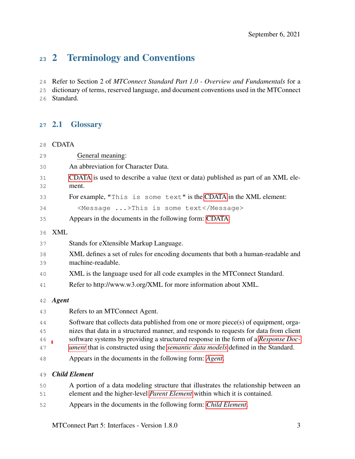## 2 Terminology and Conventions

Refer to Section 2 of *MTConnect Standard Part 1.0 - Overview and Fundamentals* for a

<span id="page-6-0"></span> dictionary of terms, reserved language, and document conventions used in the MTConnect Standard.

#### 2.1 Glossary

<span id="page-6-2"></span>CDATA

<span id="page-6-4"></span><span id="page-6-3"></span><span id="page-6-1"></span>

| 29 | General meaning:                                                                         |  |  |  |
|----|------------------------------------------------------------------------------------------|--|--|--|
| 30 | An abbreviation for Character Data.                                                      |  |  |  |
| 31 | CDATA is used to describe a value (text or data) published as part of an XML ele-        |  |  |  |
| 32 | ment.                                                                                    |  |  |  |
| 33 | For example, "This is some text" is the CDATA in the XML element:                        |  |  |  |
| 34 | <message>This is some text</message>                                                     |  |  |  |
| 35 | Appears in the documents in the following form: CDATA                                    |  |  |  |
| 36 | <b>XML</b>                                                                               |  |  |  |
| 37 | Stands for eXtensible Markup Language.                                                   |  |  |  |
| 38 | XML defines a set of rules for encoding documents that both a human-readable and         |  |  |  |
| 39 | machine-readable.                                                                        |  |  |  |
| 40 | XML is the language used for all code examples in the MTConnect Standard.                |  |  |  |
| 41 | Refer to http://www.w3.org/XML for more information about XML.                           |  |  |  |
| 42 | <b>Agent</b>                                                                             |  |  |  |
| 43 | Refers to an MTConnect Agent.                                                            |  |  |  |
| 44 | Software that collects data published from one or more piece(s) of equipment, orga-      |  |  |  |
| 45 | nizes that data in a structured manner, and responds to requests for data from client    |  |  |  |
| 46 | software systems by providing a structured response in the form of a Response Doc-       |  |  |  |
| 47 | ument that is constructed using the <i>semantic data models</i> defined in the Standard. |  |  |  |
| 48 | Appears in the documents in the following form: Agent.                                   |  |  |  |
| 49 | <b>Child Element</b>                                                                     |  |  |  |
| 50 | A portion of a data modeling structure that illustrates the relationship between an      |  |  |  |
| 51 | element and the higher-level Parent Element within which it is contained.                |  |  |  |
| 52 | Appears in the documents in the following form: Child Element.                           |  |  |  |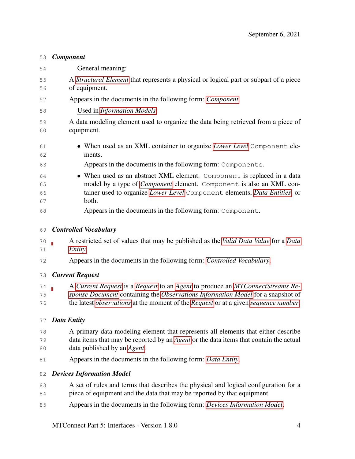#### <span id="page-7-0"></span>*Component*

| 54       | General meaning:                                                                                              |
|----------|---------------------------------------------------------------------------------------------------------------|
| 55<br>56 | A <i>Structural Element</i> that represents a physical or logical part or subpart of a piece<br>of equipment. |
|          |                                                                                                               |
| 57       | Appears in the documents in the following form: <i>Component</i> .                                            |
| 58       | Used in <i>Information Models</i> :                                                                           |
| 59       | A data modeling element used to organize the data being retrieved from a piece of                             |
| 60       | equipment.                                                                                                    |
| 61<br>62 | • When used as an XML container to organize <i>Lower Level</i> Component ele-<br>ments.                       |
| 63       | Appears in the documents in the following form: Components.                                                   |
| 64       | • When used as an abstract XML element. Component is replaced in a data                                       |
| 65       | model by a type of <i>Component</i> element. Component is also an XML con-                                    |
| 66       | tainer used to organize <i>Lower Level</i> Component elements, <i>Data Entities</i> , or                      |
| 67       | both.                                                                                                         |
| 68       | Appears in the documents in the following form: Component.                                                    |
| 69       | <b>Controlled Vocabulary</b>                                                                                  |
| 70       | A restricted set of values that may be published as the <i>Valid Data Value</i> for a <i>Data</i>             |

- <span id="page-7-2"></span>*[Entity](#page-7-1)*.
- Appears in the documents in the following form: *[Controlled Vocabulary](#page-7-2)*.

#### <span id="page-7-3"></span>*Current Request*

 A *[Current Request](#page-7-3)* is a *[Request](#page-9-1)* to an *[Agent](#page-6-1)* to produce an *[MTConnectStreams Re-](#page-9-2) [sponse Document](#page-9-2)* containing the *[Observations Information Model](#page-9-3)* for a snapshot of the latest *[observations](#page-9-4)* at the moment of the *[Request](#page-9-1)* or at a given *[sequence number](#page-10-3)*.

#### <span id="page-7-1"></span>*Data Entity*

- A primary data modeling element that represents all elements that either describe data items that may be reported by an *[Agent](#page-6-1)* or the data items that contain the actual data published by an *[Agent](#page-6-1)*.
- Appears in the documents in the following form: *[Data Entity](#page-7-1)*.

#### <span id="page-7-4"></span>*Devices Information Model*

- 83 A set of rules and terms that describes the physical and logical configuration for a piece of equipment and the data that may be reported by that equipment.
- Appears in the documents in the following form: *[Devices Information Model](#page-7-4)*.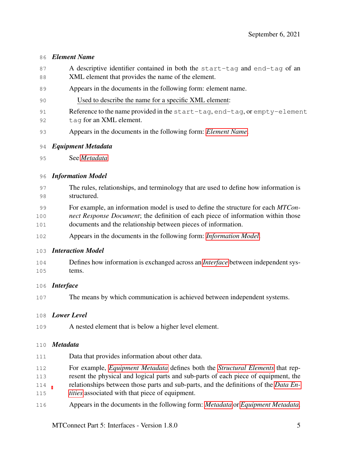#### <span id="page-8-4"></span>*Element Name*

- A descriptive identifier contained in both the start-tag and end-tag of an XML element that provides the name of the element.
- Appears in the documents in the following form: element name.
- Used to describe the name for a specific XML element:
- Reference to the name provided in the start-tag, end-tag, or empty-element 92 tag for an XML element.
- Appears in the documents in the following form: *[Element Name](#page-8-4)*.
- <span id="page-8-6"></span>*Equipment Metadata*
- See *[Metadata](#page-8-5)*

#### <span id="page-8-3"></span>*Information Model*

- The rules, relationships, and terminology that are used to define how information is structured.
- For example, an information model is used to define the structure for each *MTCon-*
- *nect Response Document*; the definition of each piece of information within those documents and the relationship between pieces of information.
- Appears in the documents in the following form: *[Information Model](#page-8-3)*.

#### <span id="page-8-0"></span>*Interaction Model*

- Defines how information is exchanged across an *[Interface](#page-8-1)* between independent sys-tems.
- <span id="page-8-1"></span>*Interface*
- The means by which communication is achieved between independent systems.

#### <span id="page-8-2"></span>*Lower Level*

A nested element that is below a higher level element.

#### <span id="page-8-5"></span>*Metadata*

- Data that provides information about other data.
- For example, *[Equipment Metadata](#page-8-6)* defines both the *[Structural Elements](#page-10-2)* that rep-
- resent the physical and logical parts and sub-parts of each piece of equipment, the
- relationships between those parts and sub-parts, and the definitions of the *[Data En-](#page-7-1)*
- *[tities](#page-7-1)* associated with that piece of equipment.
- Appears in the documents in the following form: *[Metadata](#page-8-5)* or *[Equipment Metadata](#page-8-6)*.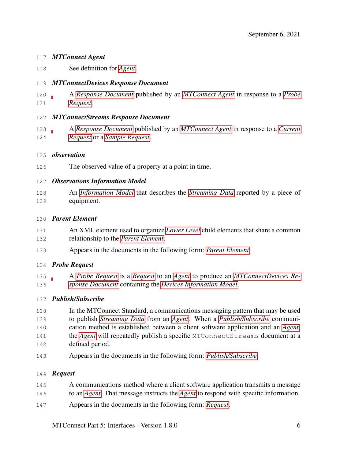#### <span id="page-9-5"></span>*MTConnect Agent*

See definition for *[Agent](#page-6-1)*.

#### <span id="page-9-7"></span>*MTConnectDevices Response Document*

 A *[Response Document](#page-10-0)* published by an *[MTConnect Agent](#page-9-5)* in response to a *[Probe](#page-9-6) [Request](#page-9-6)*.

#### <span id="page-9-2"></span>*MTConnectStreams Response Document*

 A *[Response Document](#page-10-0)* published by an *[MTConnect Agent](#page-9-5)* in response to a *[Current](#page-7-3) [Request](#page-7-3)* or a *[Sample Request](#page-10-4)*.

#### <span id="page-9-4"></span>*observation*

The observed value of a property at a point in time.

#### <span id="page-9-3"></span>*Observations Information Model*

 An *[Information Model](#page-8-3)* that describes the *[Streaming Data](#page-10-5)* reported by a piece of equipment.

#### <span id="page-9-0"></span>*Parent Element*

- An XML element used to organize *[Lower Level](#page-8-2)* child elements that share a common relationship to the *[Parent Element](#page-9-0)*.
- Appears in the documents in the following form: *[Parent Element](#page-9-0)*.

#### <span id="page-9-6"></span>*Probe Request*

 A *[Probe Request](#page-9-6)* is a *[Request](#page-9-1)* to an *[Agent](#page-6-1)* to produce an *[MTConnectDevices Re-](#page-9-7)[sponse Document](#page-9-7)* containing the *[Devices Information Model](#page-7-4)*.

#### <span id="page-9-8"></span>*Publish/Subscribe*

- In the MTConnect Standard, a communications messaging pattern that may be used to publish *[Streaming Data](#page-10-5)* from an *[Agent](#page-6-1)*. When a *[Publish/Subscribe](#page-9-8)* communi- cation method is established between a client software application and an *[Agent](#page-6-1)*, the *[Agent](#page-6-1)* will repeatedly publish a specific MTConnectStreams document at a defined period.
- Appears in the documents in the following form: *[Publish/Subscribe](#page-9-8)*.

#### <span id="page-9-1"></span>*Request*

- A communications method where a client software application transmits a message
- to an *[Agent](#page-6-1)*. That message instructs the *[Agent](#page-6-1)* to respond with specific information.
- Appears in the documents in the following form: *[Request](#page-9-1)*.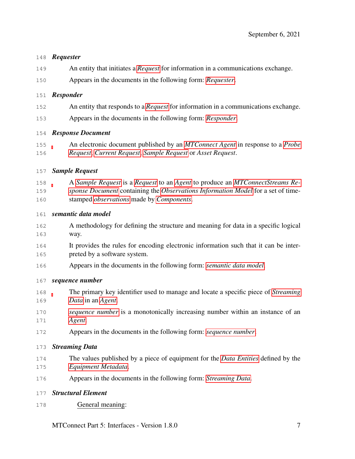#### <span id="page-10-6"></span>*Requester*

- An entity that initiates a *[Request](#page-9-1)* for information in a communications exchange.
- Appears in the documents in the following form: *[Requester](#page-10-6)*.

#### <span id="page-10-7"></span>*Responder*

- An entity that responds to a *[Request](#page-9-1)* for information in a communications exchange.
- Appears in the documents in the following form: *[Responder](#page-10-7)*.

#### <span id="page-10-0"></span>*Response Document*

 An electronic document published by an *[MTConnect Agent](#page-9-5)* in response to a *[Probe](#page-9-6) [Request](#page-9-6)*, *[Current Request](#page-7-3)*, *[Sample Request](#page-10-4)* or *Asset Request*.

#### <span id="page-10-4"></span>*Sample Request*

 A *[Sample Request](#page-10-4)* is a *[Request](#page-9-1)* to an *[Agent](#page-6-1)* to produce an *[MTConnectStreams Re-](#page-9-2) [sponse Document](#page-9-2)* containing the *[Observations Information Model](#page-9-3)* for a set of time-stamped *[observations](#page-9-4)* made by *[Components](#page-7-0)*.

#### <span id="page-10-1"></span>*semantic data model*

- A methodology for defining the structure and meaning for data in a specific logical way.
- It provides the rules for encoding electronic information such that it can be inter-preted by a software system.
- Appears in the documents in the following form: *[semantic data model](#page-10-1)*.

#### <span id="page-10-3"></span>*sequence number*

- The primary key identifier used to manage and locate a specific piece of *[Streaming](#page-10-5) [Data](#page-10-5)* in an *[Agent](#page-6-1)*.
- *[sequence number](#page-10-3)* is a monotonically increasing number within an instance of an *[Agent](#page-6-1)*.
- Appears in the documents in the following form: *[sequence number](#page-10-3)*.

#### <span id="page-10-5"></span>*Streaming Data*

- The values published by a piece of equipment for the *[Data Entities](#page-7-1)* defined by the *[Equipment Metadata](#page-8-6)*.
- Appears in the documents in the following form: *[Streaming Data](#page-10-5)*.

#### <span id="page-10-2"></span>*Structural Element*

General meaning:

MTConnect Part 5: Interfaces - Version 1.8.0 7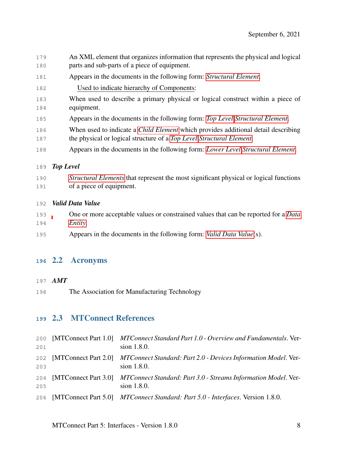- An XML element that organizes information that represents the physical and logical parts and sub-parts of a piece of equipment.
- Appears in the documents in the following form: *[Structural Element](#page-10-2)*.
- Used to indicate hierarchy of Components:
- When used to describe a primary physical or logical construct within a piece of equipment.
- Appears in the documents in the following form: *[Top Level](#page-11-4) [Structural Element](#page-10-2)*.
- When used to indicate a *[Child Element](#page-6-3)* which provides additional detail describing
- the physical or logical structure of a *[Top Level](#page-11-4) [Structural Element](#page-10-2)*.
- Appears in the documents in the following form: *[Lower Level](#page-8-2) [Structural Element](#page-10-2)*.

#### <span id="page-11-4"></span>*Top Level*

 *[Structural Elements](#page-10-2)* that represent the most significant physical or logical functions of a piece of equipment.

#### <span id="page-11-5"></span>*Valid Data Value*

- One or more acceptable values or constrained values that can be reported for a *[Data](#page-7-1) [Entity](#page-7-1)*.
- Appears in the documents in the following form: *[Valid Data Value](#page-11-5)*(s).

#### <span id="page-11-1"></span>2.2 Acronyms

#### <span id="page-11-0"></span>*AMT*

The Association for Manufacturing Technology

#### <span id="page-11-2"></span>2.3 MTConnect References

<span id="page-11-3"></span>

| 200<br>201 | [MTConnect Part 1.0] MTConnect Standard Part 1.0 - Overview and Fundamentals. Ver-<br>sion 1.8.0.  |
|------------|----------------------------------------------------------------------------------------------------|
| 202<br>203 | [MTConnect Part 2.0] MTConnect Standard: Part 2.0 - Devices Information Model. Ver-<br>sion 1.8.0. |
| 204<br>205 | [MTConnect Part 3.0] MTConnect Standard: Part 3.0 - Streams Information Model. Ver-<br>sion 1.8.0. |
|            | 206 [MTConnect Part 5.0] <i>MTConnect Standard: Part 5.0 - Interfaces.</i> Version 1.8.0.          |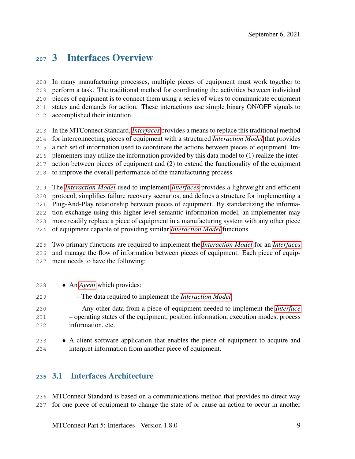### 3 Interfaces Overview

 In many manufacturing processes, multiple pieces of equipment must work together to perform a task. The traditional method for coordinating the activities between individual pieces of equipment is to connect them using a series of wires to communicate equipment states and demands for action. These interactions use simple binary ON/OFF signals to accomplished their intention.

- In the MTConnect Standard, *[Interfaces](#page-8-1)* provides a means to replace this traditional method
- for interconnecting pieces of equipment with a structured *[Interaction Model](#page-8-0)* that provides
- a rich set of information used to coordinate the actions between pieces of equipment. Im-
- plementers may utilize the information provided by this data model to (1) realize the inter-
- action between pieces of equipment and (2) to extend the functionality of the equipment
- to improve the overall performance of the manufacturing process.
- The *[Interaction Model](#page-8-0)* used to implement *[Interfaces](#page-8-1)* provides a lightweight and efficient protocol, simplifies failure recovery scenarios, and defines a structure for implementing a Plug-And-Play relationship between pieces of equipment. By standardizing the informa- tion exchange using this higher-level semantic information model, an implementer may more readily replace a piece of equipment in a manufacturing system with any other piece of equipment capable of providing similar *[Interaction Model](#page-8-0)* functions.

 Two primary functions are required to implement the *[Interaction Model](#page-8-0)* for an *[Interfaces](#page-8-1)* and manage the flow of information between pieces of equipment. Each piece of equip-ment needs to have the following:

- An *[Agent](#page-6-1)* which provides:
- The data required to implement the *[Interaction Model](#page-8-0)*.
- Any other data from a piece of equipment needed to implement the *[Interface](#page-8-1)* – operating states of the equipment, position information, execution modes, process information, etc.
- 233 A client software application that enables the piece of equipment to acquire and interpret information from another piece of equipment.

#### <span id="page-12-0"></span>3.1 Interfaces Architecture

 MTConnect Standard is based on a communications method that provides no direct way for one piece of equipment to change the state of or cause an action to occur in another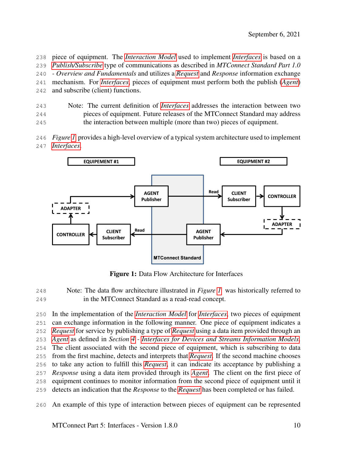piece of equipment. The *[Interaction Model](#page-8-0)* used to implement *[Interfaces](#page-8-1)* is based on a *[Publish/Subscribe](#page-9-8)* type of communications as described in *MTConnect Standard Part 1.0 - Overview and Fundamentals* and utilizes a *[Request](#page-9-1)* and *Response* information exchange mechanism. For *[Interfaces](#page-8-1)*, pieces of equipment must perform both the publish (*[Agent](#page-6-1)*) and subscribe (client) functions.

- Note: The current definition of *[Interfaces](#page-8-1)* addresses the interaction between two pieces of equipment. Future releases of the MTConnect Standard may address the interaction between multiple (more than two) pieces of equipment.
- *Figure [1](#page-13-0)* provides a high-level overview of a typical system architecture used to implement *[Interfaces](#page-8-1)*.

<span id="page-13-0"></span>

Figure 1: Data Flow Architecture for Interfaces

 Note: The data flow architecture illustrated in *Figure [1](#page-13-0)* was historically referred to in the MTConnect Standard as a read-read concept.

 In the implementation of the *[Interaction Model](#page-8-0)* for *[Interfaces](#page-8-1)*, two pieces of equipment can exchange information in the following manner. One piece of equipment indicates a *[Request](#page-9-1)* for service by publishing a type of *[Request](#page-9-1)* using a data item provided through an *[Agent](#page-6-1)* as defined in *Section [4](#page-16-0) - [Interfaces for Devices and Streams Information Models](#page-16-0)*. The client associated with the second piece of equipment, which is subscribing to data from the first machine, detects and interprets that *[Request](#page-9-1)*. If the second machine chooses to take any action to fulfill this *[Request](#page-9-1)*, it can indicate its acceptance by publishing a *Response* using a data item provided through its *[Agent](#page-6-1)*. The client on the first piece of equipment continues to monitor information from the second piece of equipment until it detects an indication that the *Response* to the *[Request](#page-9-1)* has been completed or has failed.

An example of this type of interaction between pieces of equipment can be represented

MTConnect Part 5: Interfaces - Version 1.8.0 10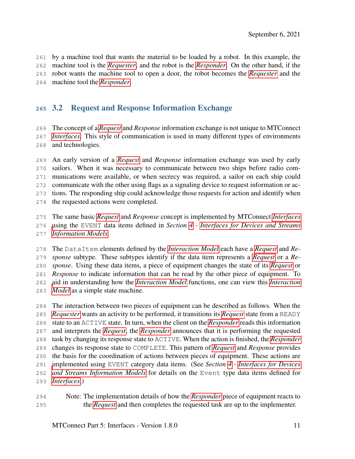by a machine tool that wants the material to be loaded by a robot. In this example, the machine tool is the *[Requester](#page-10-6)*, and the robot is the *[Responder](#page-10-7)*. On the other hand, if the robot wants the machine tool to open a door, the robot becomes the *[Requester](#page-10-6)* and the machine tool the *[Responder](#page-10-7)*.

#### <span id="page-14-0"></span>3.2 Request and Response Information Exchange

 The concept of a *[Request](#page-9-1)* and *Response* information exchange is not unique to MTConnect *[Interfaces](#page-8-1)*. This style of communication is used in many different types of environments and technologies.

 An early version of a *[Request](#page-9-1)* and *Response* information exchange was used by early sailors. When it was necessary to communicate between two ships before radio com- munications were available, or when secrecy was required, a sailor on each ship could communicate with the other using flags as a signaling device to request information or ac- tions. The responding ship could acknowledge those requests for action and identify when the requested actions were completed.

 The same basic *[Request](#page-9-1)* and *Response* concept is implemented by MTConnect *[Interfaces](#page-8-1)* [u](#page-16-0)sing the EVENT data items defined in *Section [4](#page-16-0) - [Interfaces for Devices and Streams](#page-16-0) [Information Models](#page-16-0)*.

 The DataItem elements defined by the *[Interaction Model](#page-8-0)* each have a *[Request](#page-9-1)* and *Re- sponse* subtype. These subtypes identify if the data item represents a *[Request](#page-9-1)* or a *Re- sponse*. Using these data items, a piece of equipment changes the state of its *[Request](#page-9-1)* or *Response* to indicate information that can be read by the other piece of equipment. To [a](#page-8-0)id in understanding how the *[Interaction Model](#page-8-0)* functions, one can view this *[Interaction](#page-8-0) [Model](#page-8-0)* as a simple state machine.

 The interaction between two pieces of equipment can be described as follows. When the *[Requester](#page-10-6)* wants an activity to be performed, it transitions its *[Request](#page-9-1)* state from a READY state to an ACTIVE state. In turn, when the client on the *[Responder](#page-10-7)* reads this information and interprets the *[Request](#page-9-1)*, the *[Responder](#page-10-7)* announces that it is performing the requested task by changing its response state to ACTIVE. When the action is finished, the *[Responder](#page-10-7)* changes its response state to COMPLETE. This pattern of *[Request](#page-9-1)* and *Response* provides the basis for the coordination of actions between pieces of equipment. These actions are [i](#page-16-0)mplemented using EVENT category data items. (See *Section [4](#page-16-0) - [Interfaces for Devices](#page-16-0) [and Streams Information Models](#page-16-0)* for details on the Event type data items defined for *[Interfaces](#page-8-1)*.)

 Note: The implementation details of how the *[Responder](#page-10-7)* piece of equipment reacts to the *[Request](#page-9-1)* and then completes the requested task are up to the implementer.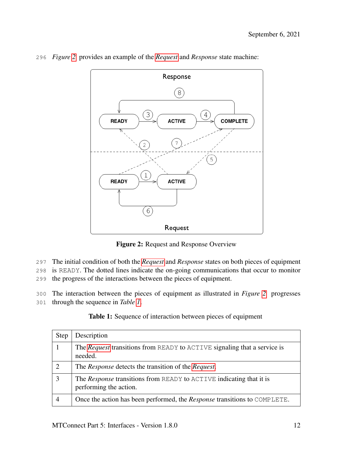

<span id="page-15-0"></span>296 *Figure [2](#page-15-0)* provides an example of the *[Request](#page-9-1)* and *Response* state machine:

Figure 2: Request and Response Overview

297 The initial condition of both the *[Request](#page-9-1)* and *Response* states on both pieces of equipment

298 is READY. The dotted lines indicate the on-going communications that occur to monitor

299 the progress of the interactions between the pieces of equipment.

300 The interaction between the pieces of equipment as illustrated in *Figure [2](#page-15-0)* progresses

<span id="page-15-1"></span>301 through the sequence in *Table [1](#page-15-1)*.

Table 1: Sequence of interaction between pieces of equipment

| Step | Description                                                                                          |
|------|------------------------------------------------------------------------------------------------------|
|      | The <i>Request</i> transitions from READY to ACTIVE signaling that a service is<br>needed.           |
| ↑    | The <i>Response</i> detects the transition of the <i>Request</i> .                                   |
| 3    | The <i>Response</i> transitions from READY to ACTIVE indicating that it is<br>performing the action. |
|      | Once the action has been performed, the <i>Response</i> transitions to COMPLETE.                     |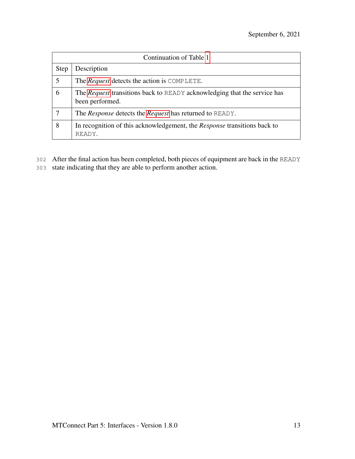| Continuation of Table 1 |                                                                                                    |  |  |
|-------------------------|----------------------------------------------------------------------------------------------------|--|--|
| <b>Step</b>             | Description                                                                                        |  |  |
|                         | The <i>Request</i> detects the action is COMPLETE.                                                 |  |  |
| 6                       | The <i>Request</i> transitions back to READY acknowledging that the service has<br>been performed. |  |  |
|                         | The <i>Response</i> detects the <i>Request</i> has returned to READY.                              |  |  |
| 8                       | In recognition of this acknowledgement, the <i>Response</i> transitions back to<br>READY.          |  |  |

- 302 After the final action has been completed, both pieces of equipment are back in the READY
- <span id="page-16-0"></span>303 state indicating that they are able to perform another action.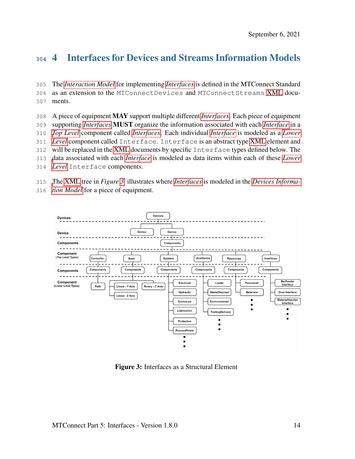## 4 Interfaces for Devices and Streams Information Models

 The *[Interaction Model](#page-8-0)* for implementing *[Interfaces](#page-8-1)* is defined in the MTConnect Standard as an extension to the MTConnectDevices and MTConnectStreams [XML](#page-6-4) docu-ments.

 A piece of equipment MAY support multiple different *[Interfaces](#page-8-1)*. Each piece of equipment supporting *[Interfaces](#page-8-1)* MUST organize the information associated with each *[Interface](#page-8-1)* in a *[Top Level](#page-11-4)* component called *[Interfaces](#page-8-1)*. Each individual *[Interface](#page-8-1)* is modeled as a *[Lower](#page-8-2) [Level](#page-8-2)* component called Interface. Interface is an abstract type [XML](#page-6-4) element and will be replaced in the [XML](#page-6-4) documents by specific Interface types defined below. The [d](#page-8-2)ata associated with each *[Interface](#page-8-1)* is modeled as data items within each of these *[Lower](#page-8-2) [Level](#page-8-2)* Interface components.

[T](#page-7-4)he [XML](#page-6-4) tree in *Figure [3](#page-17-1)* illustrates where *[Interfaces](#page-8-1)* is modeled in the *[Devices Informa-](#page-7-4)*

*[tion Model](#page-7-4)* for a piece of equipment.

<span id="page-17-1"></span>

<span id="page-17-0"></span>Figure 3: Interfaces as a Structural Element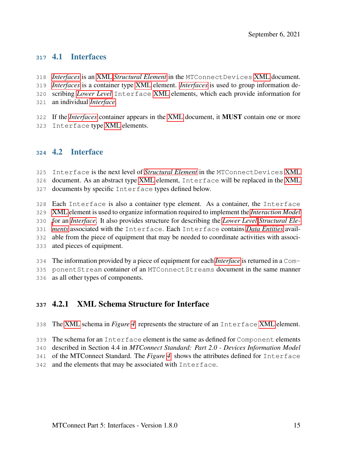#### 4.1 Interfaces

- *[Interfaces](#page-8-1)* is an [XML](#page-6-4) *[Structural Element](#page-10-2)* in the MTConnectDevices [XML](#page-6-4) document.
- *[Interfaces](#page-8-1)* is a container type [XML](#page-6-4) element. *[Interfaces](#page-8-1)* is used to group information de-
- scribing *[Lower Level](#page-8-2)* Interface [XML](#page-6-4) elements, which each provide information for
- an individual *[Interface](#page-8-1)*.
- If the *[Interfaces](#page-8-1)* container appears in the [XML](#page-6-4) document, it MUST contain one or more
- <span id="page-18-0"></span>Interface type [XML](#page-6-4) elements.

#### 4.2 Interface

- Interface is the next level of *[Structural Element](#page-10-2)* in the MTConnectDevices [XML](#page-6-4)
- document. As an abstract type [XML](#page-6-4) element, Interface will be replaced in the [XML](#page-6-4) documents by specific Interface types defined below.
- Each Interface is also a container type element. As a container, the Interface [XML](#page-6-4) element is used to organize information required to implement the *[Interaction Model](#page-8-0)* [f](#page-10-2)or an *[Interface](#page-8-1)*. It also provides structure for describing the *[Lower Level](#page-8-2) [Structural Ele-](#page-10-2) [ments](#page-10-2)* associated with the Interface. Each Interface contains *[Data Entities](#page-7-1)* avail- able from the piece of equipment that may be needed to coordinate activities with associ-ated pieces of equipment.
- The information provided by a piece of equipment for each *[Interface](#page-8-1)* is returned in a Com-ponentStream container of an MTConnectStreams document in the same manner
- <span id="page-18-1"></span>as all other types of components.

#### 4.2.1 XML Schema Structure for Interface

- The [XML](#page-6-4) schema in *Figure [4](#page-19-0)* represents the structure of an Interface [XML](#page-6-4) element.
- The schema for an Interface element is the same as defined for Component elements
- described in Section 4.4 in *MTConnect Standard: Part 2.0 Devices Information Model*
- of the MTConnect Standard. The *Figure [4](#page-19-0)* shows the attributes defined for Interface
- and the elements that may be associated with Interface.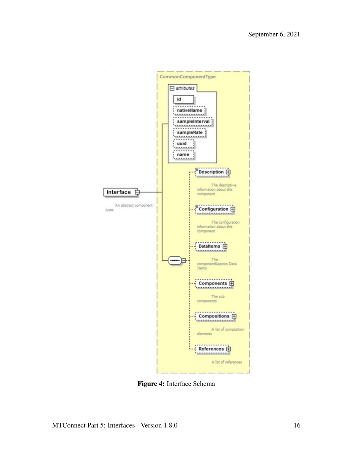<span id="page-19-0"></span>

Figure 4: Interface Schema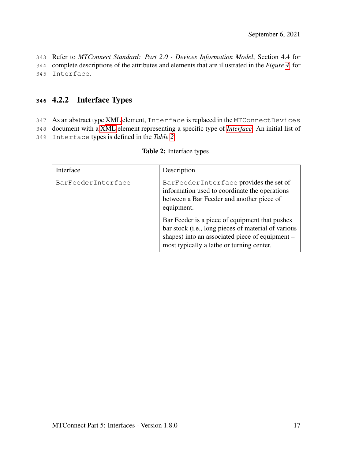343 Refer to *MTConnect Standard: Part 2.0 - Devices Information Model*, Section 4.4 for 344 complete descriptions of the attributes and elements that are illustrated in the *Figure [4](#page-19-0)* for 345 Interface.

#### <span id="page-20-0"></span>**<sup>346</sup>** 4.2.2 Interface Types

- 347 As an abstract type [XML](#page-6-4) element, Interface is replaced in the MTConnectDevices
- 348 document with a [XML](#page-6-4) element representing a specific type of *[Interface](#page-8-1)*. An initial list of
- <span id="page-20-1"></span>349 Interface types is defined in the *Table [2](#page-20-1)*.

| Interface          | Description                                                                                                                                                                                           |
|--------------------|-------------------------------------------------------------------------------------------------------------------------------------------------------------------------------------------------------|
| BarFeederInterface | BarFeederInterface provides the set of<br>information used to coordinate the operations<br>between a Bar Feeder and another piece of<br>equipment.                                                    |
|                    | Bar Feeder is a piece of equipment that pushes<br>bar stock (i.e., long pieces of material of various<br>shapes) into an associated piece of equipment –<br>most typically a lathe or turning center. |

#### Table 2: Interface types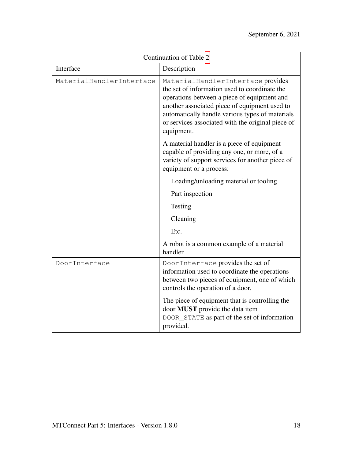| Continuation of Table 2  |                                                                                                                                                                                                                                                                                                          |  |
|--------------------------|----------------------------------------------------------------------------------------------------------------------------------------------------------------------------------------------------------------------------------------------------------------------------------------------------------|--|
| Interface                | Description                                                                                                                                                                                                                                                                                              |  |
| MaterialHandlerInterface | MaterialHandlerInterface provides<br>the set of information used to coordinate the<br>operations between a piece of equipment and<br>another associated piece of equipment used to<br>automatically handle various types of materials<br>or services associated with the original piece of<br>equipment. |  |
|                          | A material handler is a piece of equipment<br>capable of providing any one, or more, of a<br>variety of support services for another piece of<br>equipment or a process:                                                                                                                                 |  |
|                          | Loading/unloading material or tooling                                                                                                                                                                                                                                                                    |  |
|                          | Part inspection                                                                                                                                                                                                                                                                                          |  |
|                          | Testing                                                                                                                                                                                                                                                                                                  |  |
|                          | Cleaning                                                                                                                                                                                                                                                                                                 |  |
|                          | Etc.                                                                                                                                                                                                                                                                                                     |  |
|                          | A robot is a common example of a material<br>handler.                                                                                                                                                                                                                                                    |  |
| DoorInterface            | DoorInterface provides the set of<br>information used to coordinate the operations<br>between two pieces of equipment, one of which<br>controls the operation of a door.                                                                                                                                 |  |
|                          | The piece of equipment that is controlling the<br>door MUST provide the data item<br>DOOR_STATE as part of the set of information<br>provided.                                                                                                                                                           |  |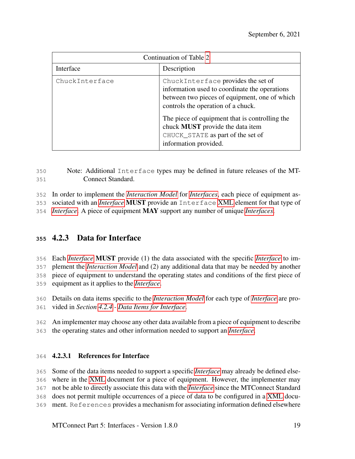| Continuation of Table 2 |                                                                                                                                                                                                                                                                                                                                       |  |
|-------------------------|---------------------------------------------------------------------------------------------------------------------------------------------------------------------------------------------------------------------------------------------------------------------------------------------------------------------------------------|--|
| Interface               | Description                                                                                                                                                                                                                                                                                                                           |  |
| ChuckInterface          | ChuckInterface provides the set of<br>information used to coordinate the operations<br>between two pieces of equipment, one of which<br>controls the operation of a chuck.<br>The piece of equipment that is controlling the<br>chuck <b>MUST</b> provide the data item<br>CHUCK_STATE as part of the set of<br>information provided. |  |

 Note: Additional Interface types may be defined in future releases of the MT-Connect Standard.

In order to implement the *[Interaction Model](#page-8-0)* for *[Interfaces](#page-8-1)*, each piece of equipment as-

sociated with an *[Interface](#page-8-1)* MUST provide an Interface [XML](#page-6-4) element for that type of

<span id="page-22-0"></span>*[Interface](#page-8-1)*. A piece of equipment MAY support any number of unique *[Interfaces](#page-8-1)*.

#### 4.2.3 Data for Interface

Each *[Interface](#page-8-1)* MUST provide (1) the data associated with the specific *[Interface](#page-8-1)* to im-

plement the *[Interaction Model](#page-8-0)* and (2) any additional data that may be needed by another

 piece of equipment to understand the operating states and conditions of the first piece of equipment as it applies to the *[Interface](#page-8-1)*.

 Details on data items specific to the *[Interaction Model](#page-8-0)* for each type of *[Interface](#page-8-1)* are pro-vided in *Section [4.2.4](#page-23-0) - [Data Items for Interface](#page-23-0)*.

An implementer may choose any other data available from a piece of equipment to describe

<span id="page-22-1"></span>the operating states and other information needed to support an *[Interface](#page-8-1)*.

#### 4.2.3.1 References for Interface

 Some of the data items needed to support a specific *[Interface](#page-8-1)* may already be defined else- where in the [XML](#page-6-4) document for a piece of equipment. However, the implementer may not be able to directly associate this data with the *[Interface](#page-8-1)* since the MTConnect Standard does not permit multiple occurrences of a piece of data to be configured in a [XML](#page-6-4) docu-

ment. References provides a mechanism for associating information defined elsewhere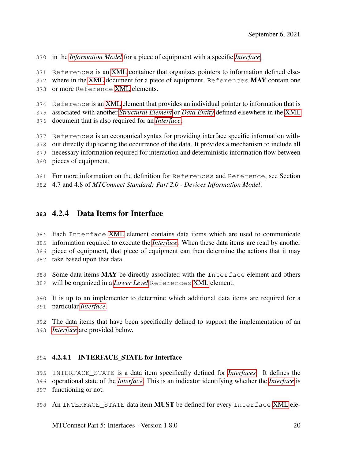in the *[Information Model](#page-8-3)* for a piece of equipment with a specific *[Interface](#page-8-1)*.

References is an [XML](#page-6-4) container that organizes pointers to information defined else-

372 where in the [XML](#page-6-4) document for a piece of equipment. References MAY contain one

or more Reference [XML](#page-6-4) elements.

Reference is an [XML](#page-6-4) element that provides an individual pointer to information that is

 associated with another *[Structural Element](#page-10-2)* or *[Data Entity](#page-7-1)* defined elsewhere in the [XML](#page-6-4) document that is also required for an *[Interface](#page-8-1)*.

References is an economical syntax for providing interface specific information with-

out directly duplicating the occurrence of the data. It provides a mechanism to include all

necessary information required for interaction and deterministic information flow between

pieces of equipment.

For more information on the definition for References and Reference, see Section

<span id="page-23-0"></span>4.7 and 4.8 of *MTConnect Standard: Part 2.0 - Devices Information Model*.

#### 4.2.4 Data Items for Interface

 Each Interface [XML](#page-6-4) element contains data items which are used to communicate information required to execute the *[Interface](#page-8-1)*. When these data items are read by another piece of equipment, that piece of equipment can then determine the actions that it may take based upon that data.

 Some data items MAY be directly associated with the Interface element and others will be organized in a *[Lower Level](#page-8-2)* References [XML](#page-6-4) element.

 It is up to an implementer to determine which additional data items are required for a particular *[Interface](#page-8-1)*.

<span id="page-23-1"></span> The data items that have been specifically defined to support the implementation of an *[Interface](#page-8-1)* are provided below.

#### 4.2.4.1 INTERFACE\_STATE for Interface

 INTERFACE\_STATE is a data item specifically defined for *[Interfaces](#page-8-1)*. It defines the operational state of the *[Interface](#page-8-1)*. This is an indicator identifying whether the *[Interface](#page-8-1)* is

functioning or not.

398 An INTERFACE\_STATE data item MUST be defined for every Interface [XML](#page-6-4) ele-

MTConnect Part 5: Interfaces - Version 1.8.0 20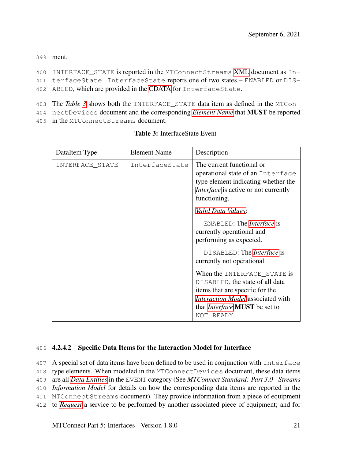399 ment.

```
400 INTERFACE_STATE is reported in the MTConnectStreams XML document as In-
401 terfaceState. InterfaceState reports one of two states – ENABLED or DIS-
402 ABLED, which are provided in the CDATA for InterfaceState.
```
- 403 The *Table [3](#page-24-1)* shows both the INTERFACE\_STATE data item as defined in the MTCon-
- <span id="page-24-1"></span>404 nectDevices document and the corresponding *[Element Name](#page-8-4)* that MUST be reported 405 in the MTConnectStreams document.

| DataItem Type   | <b>Element Name</b> | Description                                                                                                                                                                                                |
|-----------------|---------------------|------------------------------------------------------------------------------------------------------------------------------------------------------------------------------------------------------------|
| INTERFACE_STATE | InterfaceState      | The current functional or<br>operational state of an Interface<br>type element indicating whether the<br><i>Interface</i> is active or not currently<br>functioning.                                       |
|                 |                     | Valid Data Values:                                                                                                                                                                                         |
|                 |                     | ENABLED: The <i>Interface</i> is<br>currently operational and<br>performing as expected.                                                                                                                   |
|                 |                     | DISABLED: The <i>Interface</i> is<br>currently not operational.                                                                                                                                            |
|                 |                     | When the INTERFACE_STATE is<br>DISABLED, the state of all data<br>items that are specific for the<br><i>Interaction Model</i> associated with<br>that <i>Interface</i> <b>MUST</b> be set to<br>NOT_READY. |

#### Table 3: InterfaceState Event

#### <span id="page-24-0"></span>406 4.2.4.2 Specific Data Items for the Interaction Model for Interface

 A special set of data items have been defined to be used in conjunction with Interface type elements. When modeled in the MTConnectDevices document, these data items are all *[Data Entities](#page-7-1)* in the EVENT category (See *MTConnect Standard: Part 3.0 - Streams Information Model* for details on how the corresponding data items are reported in the MTConnectStreams document). They provide information from a piece of equipment to *[Request](#page-9-1)* a service to be performed by another associated piece of equipment; and for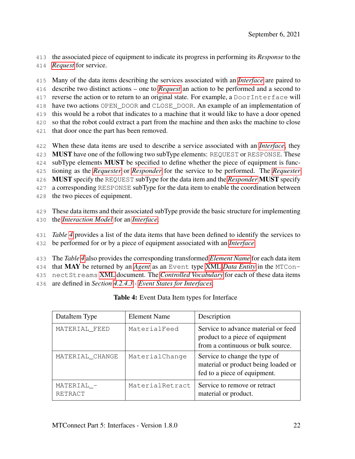the associated piece of equipment to indicate its progress in performing its *Response* to the

*[Request](#page-9-1)* for service.

 Many of the data items describing the services associated with an *[Interface](#page-8-1)* are paired to describe two distinct actions – one to *[Request](#page-9-1)* an action to be performed and a second to reverse the action or to return to an original state. For example, a DoorInterface will have two actions OPEN\_DOOR and CLOSE\_DOOR. An example of an implementation of this would be a robot that indicates to a machine that it would like to have a door opened so that the robot could extract a part from the machine and then asks the machine to close that door once the part has been removed. When these data items are used to describe a service associated with an *[Interface](#page-8-1)*, they

**MUST** have one of the following two subType elements: REQUEST or RESPONSE. These 424 subType elements MUST be specified to define whether the piece of equipment is func- tioning as the *[Requester](#page-10-6)* or *[Responder](#page-10-7)* for the service to be performed. The *[Requester](#page-10-6)* MUST specify the REQUEST subType for the data item and the *[Responder](#page-10-7)* MUST specify a corresponding RESPONSE subType for the data item to enable the coordination between the two pieces of equipment.

 These data items and their associated subType provide the basic structure for implementing the *[Interaction Model](#page-8-0)* for an *[Interface](#page-8-1)*.

- *Table [4](#page-25-0)* provides a list of the data items that have been defined to identify the services to be performed for or by a piece of equipment associated with an *[Interface](#page-8-1)*.
- The *Table [4](#page-25-0)* also provides the corresponding transformed *[Element Name](#page-8-4)* for each data item

that MAY be returned by an *[Agent](#page-6-1)* as an Event type [XML](#page-6-4) *[Data Entity](#page-7-1)* in the MTCon-

nectStreams [XML](#page-6-4) document. The *[Controlled Vocabulary](#page-7-2)* for each of these data items

<span id="page-25-0"></span>are defined in *Section [4.2.4.3](#page-26-0) - [Event States for Interfaces](#page-26-0)*.

| DataItem Type         | Element Name    | Description                                                                                                 |
|-----------------------|-----------------|-------------------------------------------------------------------------------------------------------------|
| MATERIAL_FEED         | MaterialFeed    | Service to advance material or feed<br>product to a piece of equipment<br>from a continuous or bulk source. |
| MATERIAL CHANGE       | MaterialChange  | Service to change the type of<br>material or product being loaded or<br>fed to a piece of equipment.        |
| MATERIAL -<br>RETRACT | MaterialRetract | Service to remove or retract<br>material or product.                                                        |

Table 4: Event Data Item types for Interface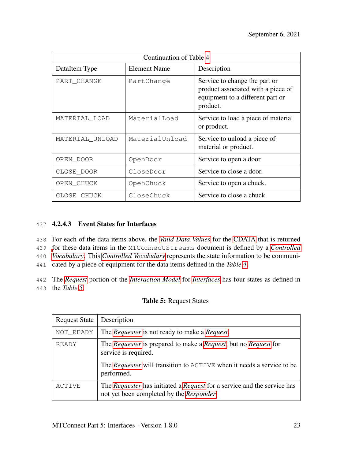| Continuation of Table 4 |                     |                                                                                                                     |  |
|-------------------------|---------------------|---------------------------------------------------------------------------------------------------------------------|--|
| DataItem Type           | <b>Element Name</b> | Description                                                                                                         |  |
| PART_CHANGE             | PartChange          | Service to change the part or<br>product associated with a piece of<br>equipment to a different part or<br>product. |  |
| MATERIAL_LOAD           | MaterialLoad        | Service to load a piece of material<br>or product.                                                                  |  |
| MATERIAL UNLOAD         | MaterialUnload      | Service to unload a piece of<br>material or product.                                                                |  |
| OPEN_DOOR               | OpenDoor            | Service to open a door.                                                                                             |  |
| CLOSE_DOOR              | CloseDoor           | Service to close a door.                                                                                            |  |
| OPEN_CHUCK              | OpenChuck           | Service to open a chuck.                                                                                            |  |
| CLOSE_CHUCK             | CloseChuck          | Service to close a chuck.                                                                                           |  |

#### <span id="page-26-0"></span>437 4.2.4.3 Event States for Interfaces

438 For each of the data items above, the *[Valid Data Values](#page-11-5)* for the [CDATA](#page-6-2) that is returned

439 [f](#page-7-2)or these data items in the MTConnectStreams document is defined by a *[Controlled](#page-7-2)*

440 *[Vocabulary](#page-7-2)*. This *[Controlled Vocabulary](#page-7-2)* represents the state information to be communi-

441 cated by a piece of equipment for the data items defined in the *Table [4](#page-25-0)*.

<span id="page-26-1"></span>442 The *[Request](#page-9-1)* portion of the *[Interaction Model](#page-8-0)* for *[Interfaces](#page-8-1)* has four states as defined in 443 the *Table [5](#page-26-1)*.

#### Table 5: Request States

| <b>Request State</b> | Description                                                                                                                                                                           |
|----------------------|---------------------------------------------------------------------------------------------------------------------------------------------------------------------------------------|
| NOT_READY            | The <i>Requester</i> is not ready to make a <i>Request</i> .                                                                                                                          |
| <b>READY</b>         | The Requester is prepared to make a Request, but no Request for<br>service is required.<br>The <i>Requester</i> will transition to ACTIVE when it needs a service to be<br>performed. |
| ACTIVE               | The <i>Requester</i> has initiated a <i>Request</i> for a service and the service has<br>not yet been completed by the Responder.                                                     |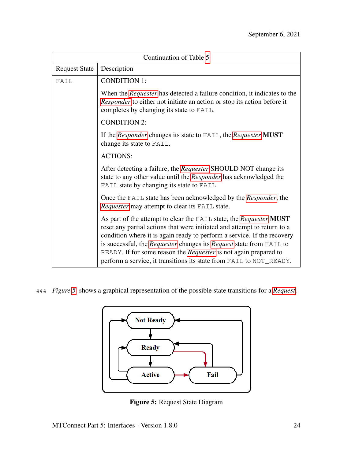| Continuation of Table 5 |                                                                                                                                                                                                                                                                                                                                                                                                                                                    |
|-------------------------|----------------------------------------------------------------------------------------------------------------------------------------------------------------------------------------------------------------------------------------------------------------------------------------------------------------------------------------------------------------------------------------------------------------------------------------------------|
| <b>Request State</b>    | Description                                                                                                                                                                                                                                                                                                                                                                                                                                        |
| FATI.                   | <b>CONDITION 1:</b>                                                                                                                                                                                                                                                                                                                                                                                                                                |
|                         | When the <i>Requester</i> has detected a failure condition, it indicates to the<br><i>Responder</i> to either not initiate an action or stop its action before it<br>completes by changing its state to FAIL.                                                                                                                                                                                                                                      |
|                         | <b>CONDITION 2:</b>                                                                                                                                                                                                                                                                                                                                                                                                                                |
|                         | If the Responder changes its state to FAIL, the Requester MUST<br>change its state to FAIL.                                                                                                                                                                                                                                                                                                                                                        |
|                         | <b>ACTIONS:</b>                                                                                                                                                                                                                                                                                                                                                                                                                                    |
|                         | After detecting a failure, the Requester SHOULD NOT change its<br>state to any other value until the <i>Responder</i> has acknowledged the<br>FAIL state by changing its state to FAIL.                                                                                                                                                                                                                                                            |
|                         | Once the FAIL state has been acknowledged by the <i>Responder</i> , the<br>Requester may attempt to clear its FAIL state.                                                                                                                                                                                                                                                                                                                          |
|                         | As part of the attempt to clear the FAIL state, the Requester MUST<br>reset any partial actions that were initiated and attempt to return to a<br>condition where it is again ready to perform a service. If the recovery<br>is successful, the Requester changes its Request state from FAIL to<br>READY. If for some reason the <i>Requester</i> is not again prepared to<br>perform a service, it transitions its state from FAIL to NOT_READY. |

<span id="page-27-0"></span>444 *Figure [5](#page-27-0)* shows a graphical representation of the possible state transitions for a *[Request](#page-9-1)*.



Figure 5: Request State Diagram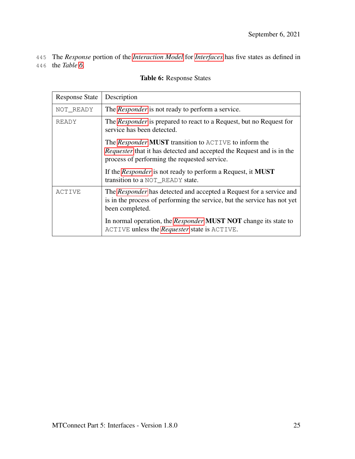<span id="page-28-0"></span>445 The *Response* portion of the *[Interaction Model](#page-8-0)* for *[Interfaces](#page-8-1)* has five states as defined in 446 the *Table [6](#page-28-0)*.

| <b>Response State</b> | Description                                                                                                                                                                                         |
|-----------------------|-----------------------------------------------------------------------------------------------------------------------------------------------------------------------------------------------------|
| NOT_READY             | The <i>Responder</i> is not ready to perform a service.                                                                                                                                             |
| READY                 | The <i>Responder</i> is prepared to react to a Request, but no Request for<br>service has been detected.                                                                                            |
|                       | The <i>Responder</i> <b>MUST</b> transition to ACTIVE to inform the<br><i>Requester</i> that it has detected and accepted the Request and is in the<br>process of performing the requested service. |
|                       | If the <i>Responder</i> is not ready to perform a Request, it <b>MUST</b><br>transition to a NOT_READY state.                                                                                       |
| ACTIVE                | The Responder has detected and accepted a Request for a service and<br>is in the process of performing the service, but the service has not yet<br>been completed.                                  |
|                       | In normal operation, the <i>Responder</i> <b>MUST NOT</b> change its state to<br>ACTIVE unless the <i>Requester</i> state is ACTIVE.                                                                |

#### Table 6: Response States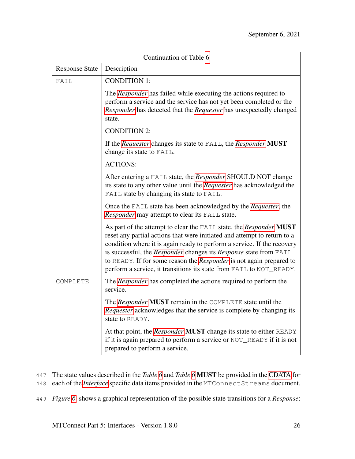| Continuation of Table 6 |                                                                                                                                                                                                                                                                                                                                                                                                                                                     |  |
|-------------------------|-----------------------------------------------------------------------------------------------------------------------------------------------------------------------------------------------------------------------------------------------------------------------------------------------------------------------------------------------------------------------------------------------------------------------------------------------------|--|
| <b>Response State</b>   | Description                                                                                                                                                                                                                                                                                                                                                                                                                                         |  |
| FAIL                    | <b>CONDITION 1:</b>                                                                                                                                                                                                                                                                                                                                                                                                                                 |  |
|                         | The Responder has failed while executing the actions required to<br>perform a service and the service has not yet been completed or the<br>Responder has detected that the Requester has unexpectedly changed<br>state.                                                                                                                                                                                                                             |  |
|                         | <b>CONDITION 2:</b>                                                                                                                                                                                                                                                                                                                                                                                                                                 |  |
|                         | If the Requester changes its state to FAIL, the Responder MUST<br>change its state to FAIL.                                                                                                                                                                                                                                                                                                                                                         |  |
|                         | <b>ACTIONS:</b>                                                                                                                                                                                                                                                                                                                                                                                                                                     |  |
|                         | After entering a FAIL state, the Responder SHOULD NOT change<br>its state to any other value until the Requester has acknowledged the<br>FAIL state by changing its state to FAIL.                                                                                                                                                                                                                                                                  |  |
|                         | Once the FAIL state has been acknowledged by the <i>Requester</i> , the<br>Responder may attempt to clear its FAIL state.                                                                                                                                                                                                                                                                                                                           |  |
|                         | As part of the attempt to clear the FAIL state, the Responder MUST<br>reset any partial actions that were initiated and attempt to return to a<br>condition where it is again ready to perform a service. If the recovery<br>is successful, the Responder changes its Response state from FAIL<br>to READY. If for some reason the <i>Responder</i> is not again prepared to<br>perform a service, it transitions its state from FAIL to NOT_READY. |  |
| COMPLETE                | The <i>Responder</i> has completed the actions required to perform the<br>service.                                                                                                                                                                                                                                                                                                                                                                  |  |
|                         | The Responder MUST remain in the COMPLETE state until the<br>Requester acknowledges that the service is complete by changing its<br>state to READY.                                                                                                                                                                                                                                                                                                 |  |
|                         | At that point, the <i>Responder</i> <b>MUST</b> change its state to either READY<br>if it is again prepared to perform a service or NOT_READY if it is not<br>prepared to perform a service.                                                                                                                                                                                                                                                        |  |

447 The state values described in the *Table [6](#page-28-0)* and *Table [6](#page-28-0)* MUST be provided in the [CDATA](#page-6-2) for

- 448 each of the *[Interface](#page-8-1)* specific data items provided in the MTConnectStreams document.
- 449 *Figure [6](#page-30-0)* shows a graphical representation of the possible state transitions for a *Response*: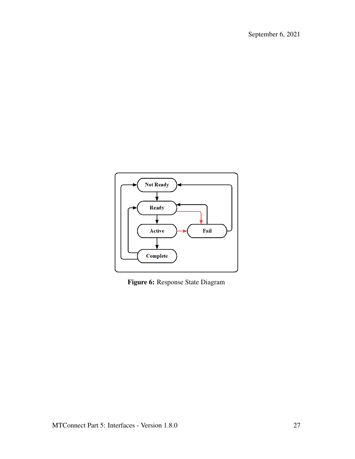<span id="page-30-0"></span>

Figure 6: Response State Diagram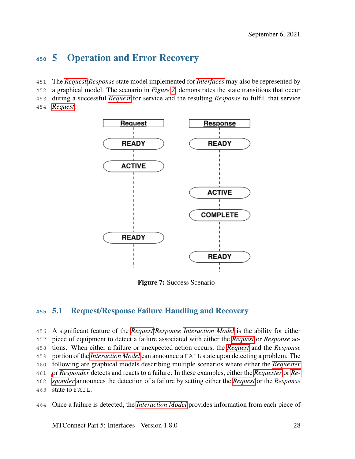## <span id="page-31-0"></span>5 Operation and Error Recovery

- The *[Request](#page-9-1)*/*Response* state model implemented for *[Interfaces](#page-8-1)* may also be represented by
- a graphical model. The scenario in *Figure [7](#page-31-2)* demonstrates the state transitions that occur
- during a successful *[Request](#page-9-1)* for service and the resulting *Response* to fulfill that service
- <span id="page-31-2"></span>*[Request](#page-9-1)*.



Figure 7: Success Scenario

#### <span id="page-31-1"></span>5.1 Request/Response Failure Handling and Recovery

 A significant feature of the *[Request](#page-9-1)*/*Response [Interaction Model](#page-8-0)* is the ability for either piece of equipment to detect a failure associated with either the *[Request](#page-9-1)* or *Response* ac- tions. When either a failure or unexpected action occurs, the *[Request](#page-9-1)* and the *Response* portion of the *[Interaction Model](#page-8-0)* can announce a FAIL state upon detecting a problem. The following are graphical models describing multiple scenarios where either the *[Requester](#page-10-6)* [o](#page-10-7)r *[Responder](#page-10-7)* detects and reacts to a failure. In these examples, either the *[Requester](#page-10-6)* or *[Re-](#page-10-7) [sponder](#page-10-7)* announces the detection of a failure by setting either the *[Request](#page-9-1)* or the *Response* state to FAIL.

Once a failure is detected, the *[Interaction Model](#page-8-0)* provides information from each piece of

MTConnect Part 5: Interfaces - Version 1.8.0 28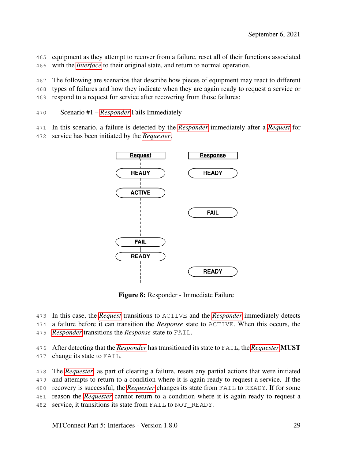equipment as they attempt to recover from a failure, reset all of their functions associated with the *[Interface](#page-8-1)* to their original state, and return to normal operation.

The following are scenarios that describe how pieces of equipment may react to different

types of failures and how they indicate when they are again ready to request a service or

respond to a request for service after recovering from those failures:

Scenario #1 – *[Responder](#page-10-7)* Fails Immediately

In this scenario, a failure is detected by the *[Responder](#page-10-7)* immediately after a *[Request](#page-9-1)* for

<span id="page-32-0"></span>service has been initiated by the *[Requester](#page-10-6)*.



Figure 8: Responder - Immediate Failure

In this case, the *[Request](#page-9-1)* transitions to ACTIVE and the *[Responder](#page-10-7)* immediately detects

a failure before it can transition the *Response* state to ACTIVE. When this occurs, the

*[Responder](#page-10-7)* transitions the *Response* state to FAIL.

After detecting that the *[Responder](#page-10-7)* has transitioned its state to FAIL, the *[Requester](#page-10-6)* MUST

change its state to FAIL.

The *[Requester](#page-10-6)*, as part of clearing a failure, resets any partial actions that were initiated

and attempts to return to a condition where it is again ready to request a service. If the

recovery is successful, the *[Requester](#page-10-6)* changes its state from FAIL to READY. If for some

reason the *[Requester](#page-10-6)* cannot return to a condition where it is again ready to request a

service, it transitions its state from FAIL to NOT\_READY.

MTConnect Part 5: Interfaces - Version 1.8.0 29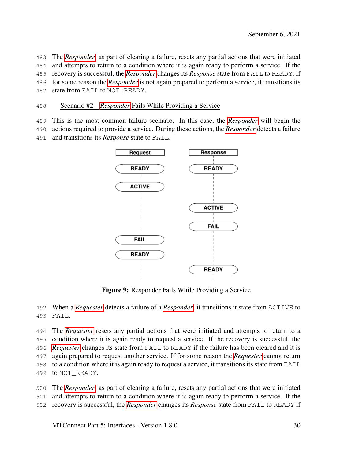The *[Responder](#page-10-7)*, as part of clearing a failure, resets any partial actions that were initiated and attempts to return to a condition where it is again ready to perform a service. If the recovery is successful, the *[Responder](#page-10-7)* changes its *Response* state from FAIL to READY. If for some reason the *[Responder](#page-10-7)* is not again prepared to perform a service, it transitions its 487 state from FAIL to NOT READY.

#### Scenario #2 – *[Responder](#page-10-7)* Fails While Providing a Service

This is the most common failure scenario. In this case, the *[Responder](#page-10-7)* will begin the

actions required to provide a service. During these actions, the *[Responder](#page-10-7)* detects a failure

<span id="page-33-0"></span>and transitions its *Response* state to FAIL.



Figure 9: Responder Fails While Providing a Service

 When a *[Requester](#page-10-6)* detects a failure of a *[Responder](#page-10-7)*, it transitions it state from ACTIVE to FAIL.

 The *[Requester](#page-10-6)* resets any partial actions that were initiated and attempts to return to a condition where it is again ready to request a service. If the recovery is successful, the *[Requester](#page-10-6)* changes its state from FAIL to READY if the failure has been cleared and it is again prepared to request another service. If for some reason the *[Requester](#page-10-6)* cannot return to a condition where it is again ready to request a service, it transitions its state from FAIL to NOT\_READY.

 The *[Responder](#page-10-7)*, as part of clearing a failure, resets any partial actions that were initiated and attempts to return to a condition where it is again ready to perform a service. If the recovery is successful, the *[Responder](#page-10-7)* changes its *Response* state from FAIL to READY if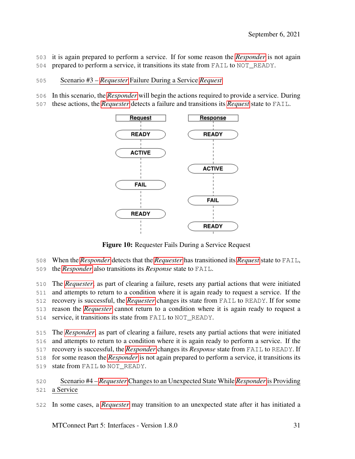it is again prepared to perform a service. If for some reason the *[Responder](#page-10-7)* is not again prepared to perform a service, it transitions its state from FAIL to NOT\_READY.

- Scenario #3 *[Requester](#page-10-6)* Failure During a Service *[Request](#page-9-1)*
- In this scenario, the *[Responder](#page-10-7)* will begin the actions required to provide a service. During
- <span id="page-34-0"></span>these actions, the *[Requester](#page-10-6)* detects a failure and transitions its *[Request](#page-9-1)* state to FAIL.



Figure 10: Requester Fails During a Service Request

- When the *[Responder](#page-10-7)* detects that the *[Requester](#page-10-6)* has transitioned its *[Request](#page-9-1)* state to FAIL,
- the *[Responder](#page-10-7)* also transitions its *Response* state to FAIL.

 The *[Requester](#page-10-6)*, as part of clearing a failure, resets any partial actions that were initiated and attempts to return to a condition where it is again ready to request a service. If the recovery is successful, the *[Requester](#page-10-6)* changes its state from FAIL to READY. If for some reason the *[Requester](#page-10-6)* cannot return to a condition where it is again ready to request a service, it transitions its state from FAIL to NOT\_READY.

 The *[Responder](#page-10-7)*, as part of clearing a failure, resets any partial actions that were initiated and attempts to return to a condition where it is again ready to perform a service. If the recovery is successful, the *[Responder](#page-10-7)* changes its *Response* state from FAIL to READY. If for some reason the *[Responder](#page-10-7)* is not again prepared to perform a service, it transitions its state from FAIL to NOT\_READY.

In some cases, a *[Requester](#page-10-6)* may transition to an unexpected state after it has initiated a

MTConnect Part 5: Interfaces - Version 1.8.0 31

 Scenario #4 – *[Requester](#page-10-6)* Changes to an Unexpected State While *[Responder](#page-10-7)* is Providing a Service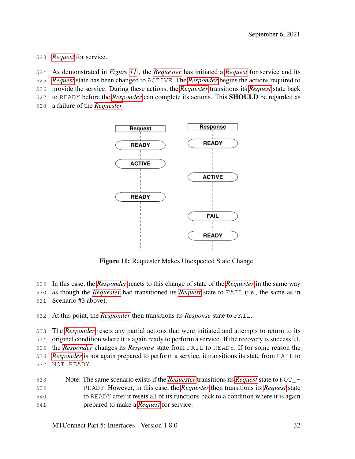- *[Request](#page-9-1)* for service.
- As demonstrated in *Figure [11](#page-35-0)* , the *[Requester](#page-10-6)* has initiated a *[Request](#page-9-1)* for service and its
- *[Request](#page-9-1)* state has been changed to ACTIVE. The *[Responder](#page-10-7)* begins the actions required to
- provide the service. During these actions, the *[Requester](#page-10-6)* transitions its *[Request](#page-9-1)* state back
- to READY before the *[Responder](#page-10-7)* can complete its actions. This SHOULD be regarded as
- <span id="page-35-0"></span>a failure of the *[Requester](#page-10-6)*.



Figure 11: Requester Makes Unexpected State Change

- In this case, the *[Responder](#page-10-7)* reacts to this change of state of the *[Requester](#page-10-6)* in the same way
- as though the *[Requester](#page-10-6)* had transitioned its *[Request](#page-9-1)* state to FAIL (i.e., the same as in
- Scenario #3 above).
- At this point, the *[Responder](#page-10-7)* then transitions its *Response* state to FAIL.

 The *[Responder](#page-10-7)* resets any partial actions that were initiated and attempts to return to its original condition where it is again ready to perform a service. If the recovery is successful, the *[Responder](#page-10-7)* changes its *Response* state from FAIL to READY. If for some reason the *[Responder](#page-10-7)* is not again prepared to perform a service, it transitions its state from FAIL to NOT\_READY.

 Note: The same scenario exists if the *[Requester](#page-10-6)* transitions its *[Request](#page-9-1)* state to NOT\_- READY. However, in this case, the *[Requester](#page-10-6)* then transitions its *[Request](#page-9-1)* state to READY after it resets all of its functions back to a condition where it is again prepared to make a *[Request](#page-9-1)* for service.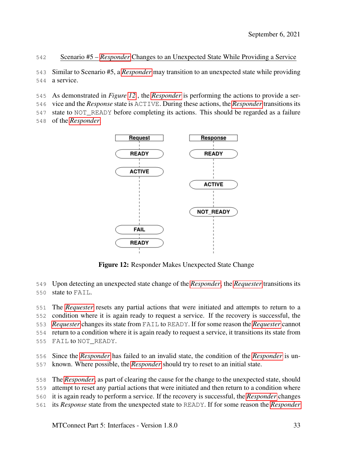#### Scenario #5 – *[Responder](#page-10-7)* Changes to an Unexpected State While Providing a Service

 Similar to Scenario #5, a *[Responder](#page-10-7)* may transition to an unexpected state while providing a service.

As demonstrated in *Figure [12](#page-36-0)* , the *[Responder](#page-10-7)* is performing the actions to provide a ser-

vice and the *Response* state is ACTIVE. During these actions, the *[Responder](#page-10-7)* transitions its

state to NOT\_READY before completing its actions. This should be regarded as a failure

<span id="page-36-0"></span>of the *[Responder](#page-10-7)*.



Figure 12: Responder Makes Unexpected State Change

Upon detecting an unexpected state change of the *[Responder](#page-10-7)*, the *[Requester](#page-10-6)* transitions its

state to FAIL.

 The *[Requester](#page-10-6)* resets any partial actions that were initiated and attempts to return to a condition where it is again ready to request a service. If the recovery is successful, the *[Requester](#page-10-6)* changes its state from FAIL to READY. If for some reason the *[Requester](#page-10-6)* cannot return to a condition where it is again ready to request a service, it transitions its state from FAIL to NOT\_READY.

 Since the *[Responder](#page-10-7)* has failed to an invalid state, the condition of the *[Responder](#page-10-7)* is un-known. Where possible, the *[Responder](#page-10-7)* should try to reset to an initial state.

The *[Responder](#page-10-7)*, as part of clearing the cause for the change to the unexpected state, should

attempt to reset any partial actions that were initiated and then return to a condition where

- it is again ready to perform a service. If the recovery is successful, the *[Responder](#page-10-7)* changes
- its *Response* state from the unexpected state to READY. If for some reason the *[Responder](#page-10-7)*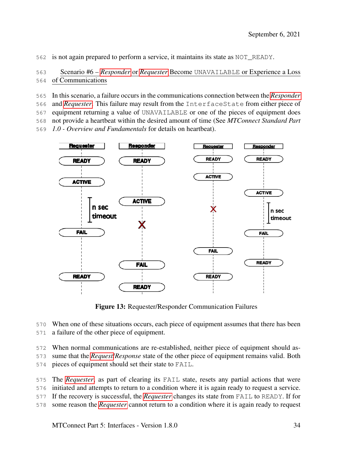is not again prepared to perform a service, it maintains its state as NOT\_READY.

 Scenario #6 – *[Responder](#page-10-7)* or *[Requester](#page-10-6)* Become UNAVAILABLE or Experience a Loss of Communications

In this scenario, a failure occurs in the communications connection between the *[Responder](#page-10-7)*

and *[Requester](#page-10-6)*. This failure may result from the InterfaceState from either piece of

equipment returning a value of UNAVAILABLE or one of the pieces of equipment does

not provide a heartbeat within the desired amount of time (See *MTConnect Standard Part*

*1.0 - Overview and Fundamentals* for details on heartbeat).

<span id="page-37-0"></span>

Figure 13: Requester/Responder Communication Failures

When one of these situations occurs, each piece of equipment assumes that there has been

a failure of the other piece of equipment.

When normal communications are re-established, neither piece of equipment should as-

sume that the *[Request](#page-9-1)*/*Response* state of the other piece of equipment remains valid. Both

pieces of equipment should set their state to FAIL.

The *[Requester](#page-10-6)*, as part of clearing its FAIL state, resets any partial actions that were

initiated and attempts to return to a condition where it is again ready to request a service.

If the recovery is successful, the *[Requester](#page-10-6)* changes its state from FAIL to READY. If for

some reason the *[Requester](#page-10-6)* cannot return to a condition where it is again ready to request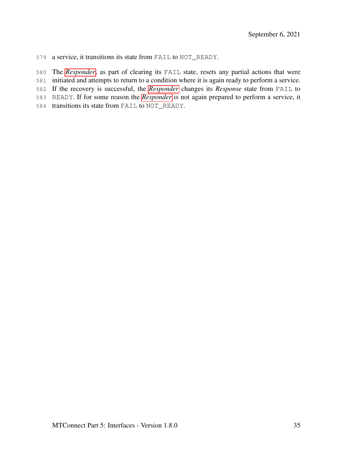a service, it transitions its state from FAIL to NOT\_READY.

The *[Responder](#page-10-7)*, as part of clearing its FAIL state, resets any partial actions that were

initiated and attempts to return to a condition where it is again ready to perform a service.

If the recovery is successful, the *[Responder](#page-10-7)* changes its *Response* state from FAIL to

READY. If for some reason the *[Responder](#page-10-7)* is not again prepared to perform a service, it

transitions its state from FAIL to NOT\_READY.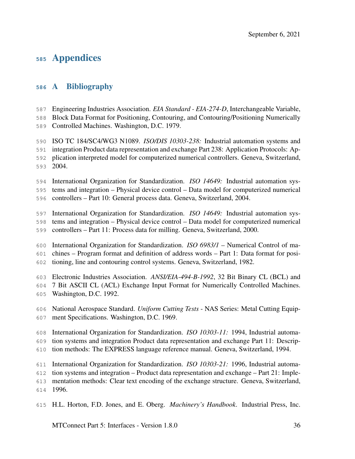## Appendices

#### <span id="page-39-0"></span>A Bibliography

Engineering Industries Association. *EIA Standard - EIA-274-D*, Interchangeable Variable,

Block Data Format for Positioning, Contouring, and Contouring/Positioning Numerically

Controlled Machines. Washington, D.C. 1979.

 ISO TC 184/SC4/WG3 N1089. *ISO/DIS 10303-238:* Industrial automation systems and integration Product data representation and exchange Part 238: Application Protocols: Ap-plication interpreted model for computerized numerical controllers. Geneva, Switzerland,

2004.

 International Organization for Standardization. *ISO 14649:* Industrial automation sys-tems and integration – Physical device control – Data model for computerized numerical

controllers – Part 10: General process data. Geneva, Switzerland, 2004.

International Organization for Standardization. *ISO 14649:* Industrial automation sys-

tems and integration – Physical device control – Data model for computerized numerical

controllers – Part 11: Process data for milling. Geneva, Switzerland, 2000.

International Organization for Standardization. *ISO 6983/1* – Numerical Control of ma-

chines – Program format and definition of address words – Part 1: Data format for posi-

tioning, line and contouring control systems. Geneva, Switzerland, 1982.

Electronic Industries Association. *ANSI/EIA-494-B-1992*, 32 Bit Binary CL (BCL) and

7 Bit ASCII CL (ACL) Exchange Input Format for Numerically Controlled Machines.

- Washington, D.C. 1992.
- National Aerospace Standard. *Uniform Cutting Tests* NAS Series: Metal Cutting Equip-ment Specifications. Washington, D.C. 1969.

International Organization for Standardization. *ISO 10303-11:* 1994, Industrial automa-

tion systems and integration Product data representation and exchange Part 11: Descrip-

tion methods: The EXPRESS language reference manual. Geneva, Switzerland, 1994.

International Organization for Standardization. *ISO 10303-21:* 1996, Industrial automa-

tion systems and integration – Product data representation and exchange – Part 21: Imple-

mentation methods: Clear text encoding of the exchange structure. Geneva, Switzerland,

1996.

H.L. Horton, F.D. Jones, and E. Oberg. *Machinery's Handbook*. Industrial Press, Inc.

MTConnect Part 5: Interfaces - Version 1.8.0 36